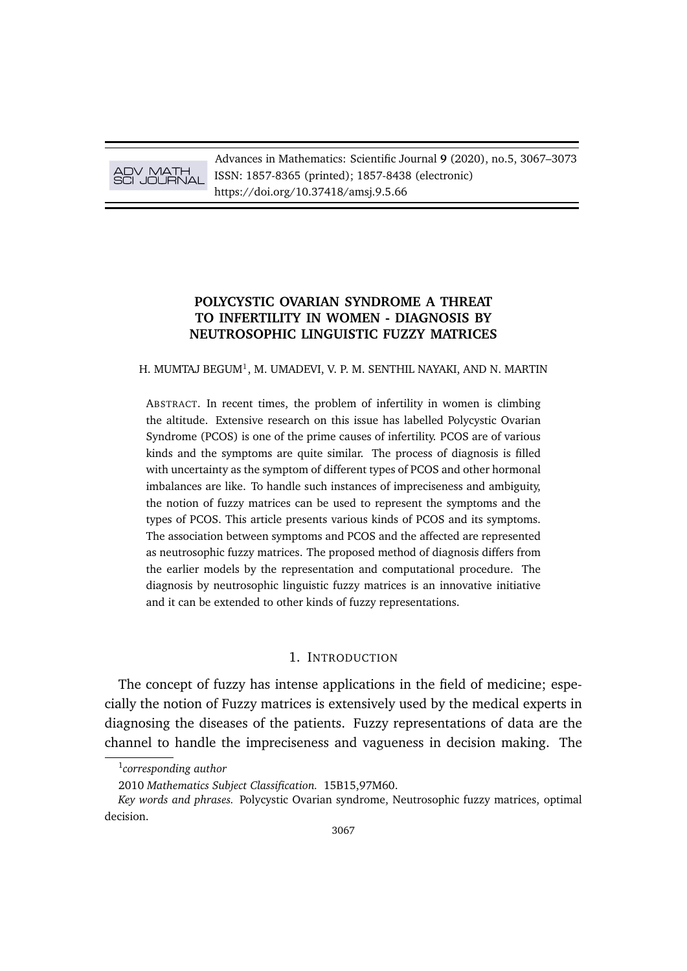# ADV MATH SCI JOURNAL

Advances in Mathematics: Scientific Journal **9** (2020), no.5, 3067–3073 ISSN: 1857-8365 (printed); 1857-8438 (electronic) https://doi.org/10.37418/amsj.9.5.66

# **POLYCYSTIC OVARIAN SYNDROME A THREAT TO INFERTILITY IN WOMEN - DIAGNOSIS BY NEUTROSOPHIC LINGUISTIC FUZZY MATRICES**

H. MUMTAJ BEGUM<sup>1</sup>, M. UMADEVI, V. P. M. SENTHIL NAYAKI, AND N. MARTIN

ABSTRACT. In recent times, the problem of infertility in women is climbing the altitude. Extensive research on this issue has labelled Polycystic Ovarian Syndrome (PCOS) is one of the prime causes of infertility. PCOS are of various kinds and the symptoms are quite similar. The process of diagnosis is filled with uncertainty as the symptom of different types of PCOS and other hormonal imbalances are like. To handle such instances of impreciseness and ambiguity, the notion of fuzzy matrices can be used to represent the symptoms and the types of PCOS. This article presents various kinds of PCOS and its symptoms. The association between symptoms and PCOS and the affected are represented as neutrosophic fuzzy matrices. The proposed method of diagnosis differs from the earlier models by the representation and computational procedure. The diagnosis by neutrosophic linguistic fuzzy matrices is an innovative initiative and it can be extended to other kinds of fuzzy representations.

### 1. INTRODUCTION

The concept of fuzzy has intense applications in the field of medicine; especially the notion of Fuzzy matrices is extensively used by the medical experts in diagnosing the diseases of the patients. Fuzzy representations of data are the channel to handle the impreciseness and vagueness in decision making. The

<sup>1</sup> *corresponding author*

<sup>2010</sup> *Mathematics Subject Classification.* 15B15,97M60.

*Key words and phrases.* Polycystic Ovarian syndrome, Neutrosophic fuzzy matrices, optimal decision.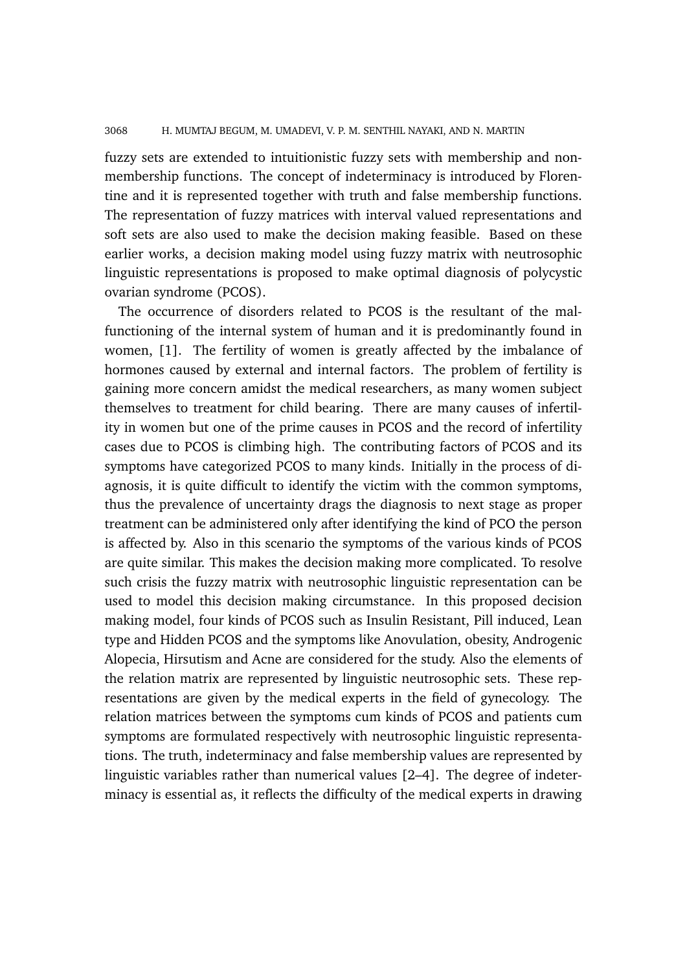### 3068 H. MUMTAJ BEGUM, M. UMADEVI, V. P. M. SENTHIL NAYAKI, AND N. MARTIN

fuzzy sets are extended to intuitionistic fuzzy sets with membership and nonmembership functions. The concept of indeterminacy is introduced by Florentine and it is represented together with truth and false membership functions. The representation of fuzzy matrices with interval valued representations and soft sets are also used to make the decision making feasible. Based on these earlier works, a decision making model using fuzzy matrix with neutrosophic linguistic representations is proposed to make optimal diagnosis of polycystic ovarian syndrome (PCOS).

The occurrence of disorders related to PCOS is the resultant of the malfunctioning of the internal system of human and it is predominantly found in women, [1]. The fertility of women is greatly affected by the imbalance of hormones caused by external and internal factors. The problem of fertility is gaining more concern amidst the medical researchers, as many women subject themselves to treatment for child bearing. There are many causes of infertility in women but one of the prime causes in PCOS and the record of infertility cases due to PCOS is climbing high. The contributing factors of PCOS and its symptoms have categorized PCOS to many kinds. Initially in the process of diagnosis, it is quite difficult to identify the victim with the common symptoms, thus the prevalence of uncertainty drags the diagnosis to next stage as proper treatment can be administered only after identifying the kind of PCO the person is affected by. Also in this scenario the symptoms of the various kinds of PCOS are quite similar. This makes the decision making more complicated. To resolve such crisis the fuzzy matrix with neutrosophic linguistic representation can be used to model this decision making circumstance. In this proposed decision making model, four kinds of PCOS such as Insulin Resistant, Pill induced, Lean type and Hidden PCOS and the symptoms like Anovulation, obesity, Androgenic Alopecia, Hirsutism and Acne are considered for the study. Also the elements of the relation matrix are represented by linguistic neutrosophic sets. These representations are given by the medical experts in the field of gynecology. The relation matrices between the symptoms cum kinds of PCOS and patients cum symptoms are formulated respectively with neutrosophic linguistic representations. The truth, indeterminacy and false membership values are represented by linguistic variables rather than numerical values [2–4]. The degree of indeterminacy is essential as, it reflects the difficulty of the medical experts in drawing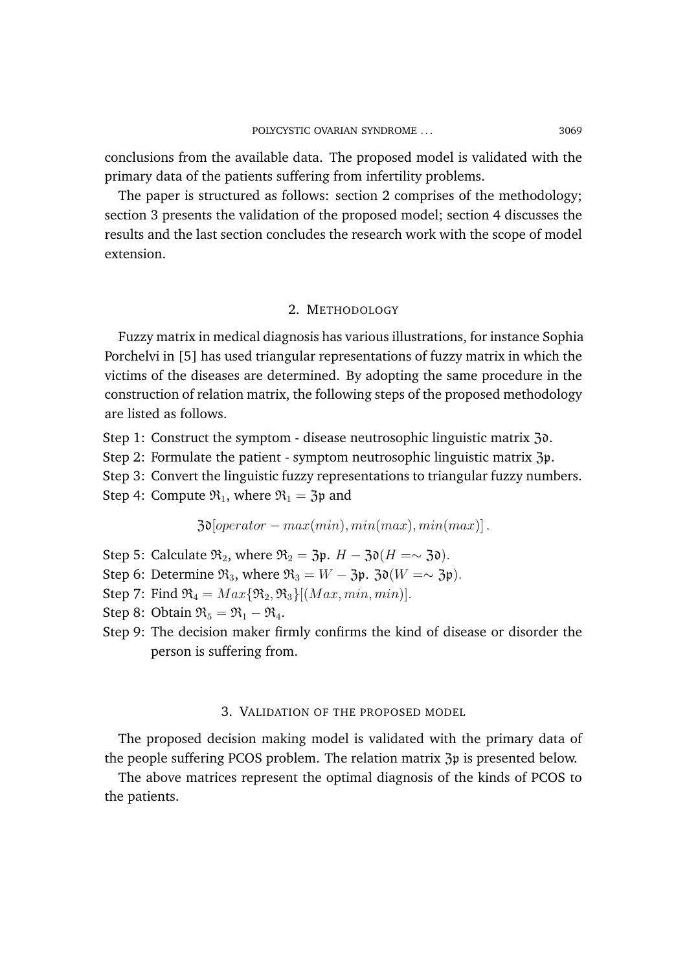conclusions from the available data. The proposed model is validated with the primary data of the patients suffering from infertility problems.

The paper is structured as follows: section 2 comprises of the methodology; section 3 presents the validation of the proposed model; section 4 discusses the results and the last section concludes the research work with the scope of model extension.

# 2. METHODOLOGY

Fuzzy matrix in medical diagnosis has various illustrations, for instance Sophia Porchelvi in [5] has used triangular representations of fuzzy matrix in which the victims of the diseases are determined. By adopting the same procedure in the construction of relation matrix, the following steps of the proposed methodology are listed as follows.

Step 1: Construct the symptom - disease neutrosophic linguistic matrix 30.

Step 2: Formulate the patient - symptom neutrosophic linguistic matrix  $\mathfrak{Z}_p$ .

Step 3: Convert the linguistic fuzzy representations to triangular fuzzy numbers.

Step 4: Compute  $\mathfrak{R}_1$ , where  $\mathfrak{R}_1 = 3\mathfrak{p}$  and

 $3\mathfrak{d}[\overline{operator} - max(min), min(max), min(max)].$ 

- Step 5: Calculate  $\mathfrak{R}_2$ , where  $\mathfrak{R}_2 = 3\mathfrak{p}$ .  $H 3\mathfrak{d}(H = \sim 3\mathfrak{d})$ .
- Step 6: Determine  $\mathfrak{R}_3$ , where  $\mathfrak{R}_3 = W 3\mathfrak{p}$ .  $3\mathfrak{d}(W = \sim 3\mathfrak{p})$ .
- Step 7: Find  $\mathfrak{R}_4 = Max\{\mathfrak{R}_2, \mathfrak{R}_3\}$  [(Max, min, min)].
- Step 8: Obtain  $\mathfrak{R}_5 = \mathfrak{R}_1 \mathfrak{R}_4$ .
- Step 9: The decision maker firmly confirms the kind of disease or disorder the person is suffering from.

### 3. VALIDATION OF THE PROPOSED MODEL

The proposed decision making model is validated with the primary data of the people suffering PCOS problem. The relation matrix Zp is presented below.

The above matrices represent the optimal diagnosis of the kinds of PCOS to the patients.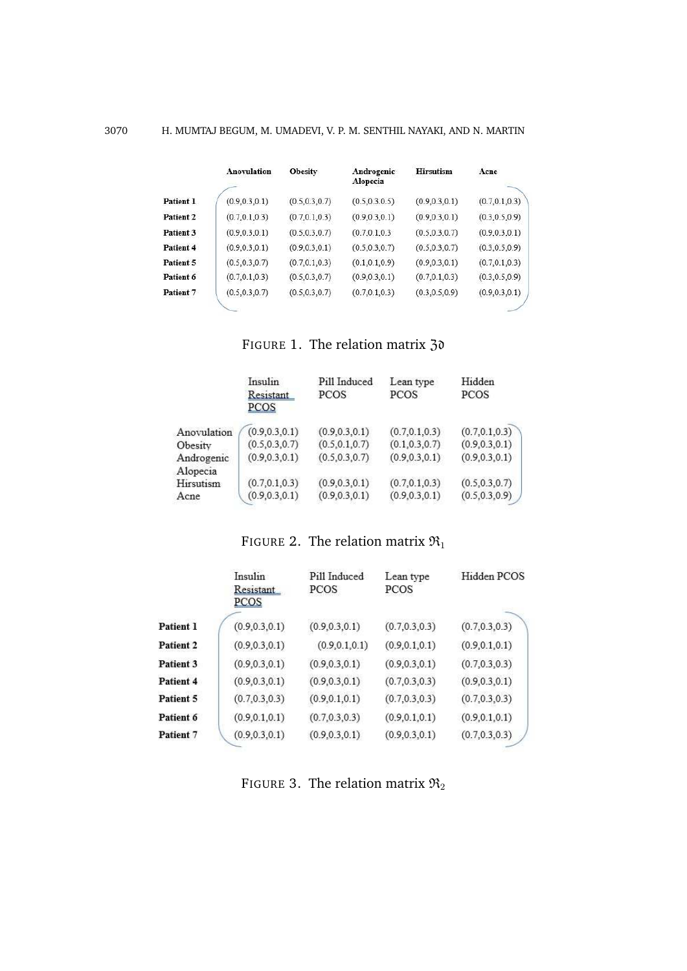|                      | <b>Anovulation</b> | <b>Obesity</b>  | Androgenic<br>Alopecia | <b>Hirsutism</b> | Acne            |
|----------------------|--------------------|-----------------|------------------------|------------------|-----------------|
|                      |                    |                 |                        |                  |                 |
| Patient 1            | (0.9, 0.3, 0.1)    | (0.5, 0.3, 0.7) | (0.5, 0.3.0.5)         | (0.9, 0.3, 0.1)  | (0.7, 0.1, 0.3) |
| Patient 2            | (0.7, 0.1, 0.3)    | (0.7, 0.1, 0.3) | (0.9, 0.3, 0.1)        | (0.9, 0.3, 0.1)  | (0.3, 0.5, 0.9) |
| Patient 3            | (0.9, 0.3, 0.1)    | (0.5, 0.3, 0.7) | (0.7, 0.1, 0.3)        | (0.5, 0.3, 0.7)  | (0.9, 0.3, 0.1) |
| Patient <sub>4</sub> | (0.9, 0.3, 0.1)    | (0.9, 0.3, 0.1) | (0.5, 0.3, 0.7)        | (0.5, 0.3, 0.7)  | (0.3.0.5.0.9)   |
| Patient 5            | (0.5, 0.3, 0.7)    | (0.7, 0.1, 0.3) | (0.1, 0.1, 0.9)        | (0.9, 0.3, 0.1)  | (0.7, 0.1, 0.3) |
| Patient 6            | (0.7, 0.1, 0.3)    | (0.5, 0.3, 0.7) | (0.9, 0.3, 0.1)        | (0.7, 0.1, 0.3)  | (0.3, 0.5, 0.9) |
| Patient 7            | (0.5, 0.3, 0.7)    | (0.5, 0.3, 0.7) | (0.7, 0.1, 0.3)        | (0.3, 0.5, 0.9)  | (0.9, 0.3, 0.1) |
|                      |                    |                 |                        |                  |                 |

FIGURE 1. The relation matrix 30

|             | Insulin<br>Resistant<br>PCOS | Pill Induced<br><b>PCOS</b> | Lean type<br><b>PCOS</b> | Hidden<br>PCOS  |
|-------------|------------------------------|-----------------------------|--------------------------|-----------------|
| Anovulation | (0.9, 0.3, 0.1)              | (0.9, 0.3, 0.1)             | (0.7, 0.1, 0.3)          | (0.7, 0.1, 0.3) |
| Obesity     | (0.5, 0.3, 0.7)              | (0.5, 0.1, 0.7)             | (0.1, 0.3, 0.7)          | (0.9, 0.3, 0.1) |
| Androgenic  | (0.9, 0.3, 0.1)              | (0.5, 0.3, 0.7)             | (0.9, 0.3, 0.1)          | (0.9, 0.3, 0.1) |
| Alopecia    |                              |                             |                          |                 |
| Hirsutism   | (0.7, 0.1, 0.3)              | (0.9, 0.3, 0.1)             | (0.7, 0.1, 0.3)          | (0.5, 0.3, 0.7) |
| Acne        | (0.9, 0.3, 0.1)              | (0.9, 0.3, 0.1)             | (0.9, 0.3, 0.1)          | (0.5, 0.3, 0.9) |

FIGURE 2. The relation matrix  $\mathfrak{R}_1$ 

|                  | Insulin<br>Resistant<br>PCOS | Pill Induced<br>PCOS | Lean type<br>PCOS | Hidden PCOS     |
|------------------|------------------------------|----------------------|-------------------|-----------------|
| Patient 1        | (0.9, 0.3, 0.1)              | (0.9, 0.3, 0.1)      | (0.7, 0.3, 0.3)   | (0.7, 0.3, 0.3) |
| <b>Patient 2</b> | (0.9, 0.3, 0.1)              | (0.9, 0.1, 0.1)      | (0.9, 0.1, 0.1)   | (0.9, 0.1, 0.1) |
| Patient 3        | (0.9, 0.3, 0.1)              | (0.9, 0.3, 0.1)      | (0.9, 0.3, 0.1)   | (0.7, 0.3, 0.3) |
| Patient 4        | (0.9, 0.3, 0.1)              | (0.9, 0.3, 0.1)      | (0.7, 0.3, 0.3)   | (0.9, 0.3, 0.1) |
| Patient 5        | (0.7, 0.3, 0.3)              | (0.9, 0.1, 0.1)      | (0.7, 0.3, 0.3)   | (0.7, 0.3, 0.3) |
| Patient 6        | (0.9, 0.1, 0.1)              | (0.7, 0.3, 0.3)      | (0.9, 0.1, 0.1)   | (0.9, 0.1, 0.1) |
| Patient 7        | (0.9, 0.3, 0.1)              | (0.9, 0.3, 0.1)      | (0.9, 0.3, 0.1)   | (0.7, 0.3, 0.3) |

FIGURE 3. The relation matrix  $\mathfrak{R}_2$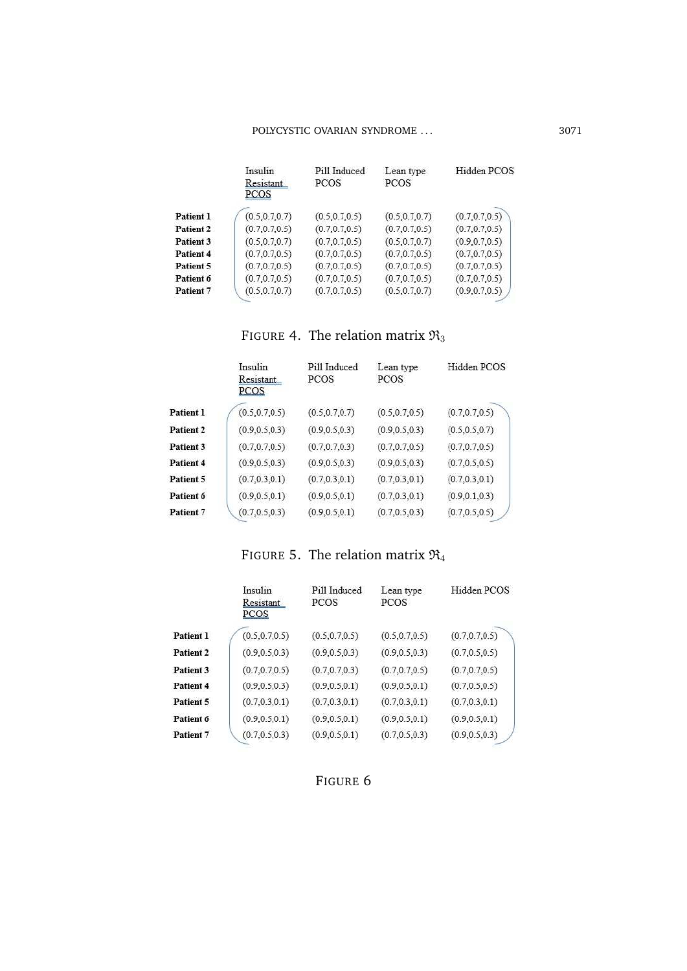|           | Insulin<br>Resistant<br>PCOS | Pill Induced<br>PCOS | Lean type<br><b>PCOS</b> | Hidden PCOS     |
|-----------|------------------------------|----------------------|--------------------------|-----------------|
| Patient 1 | (0.5, 0.7, 0.7)              | (0.5, 0.7, 0.5)      | (0.5, 0.7, 0.7)          | (0.7, 0.7, 0.5) |
| Patient 2 | (0.7, 0.7, 0.5)              | (0.7.0.7.0.5)        | (0.7, 0.7, 0.5)          | (0.7, 0.7, 0.5) |
| Patient 3 | (0.5.0.7.0.7)                | (0.7, 0.7, 0.5)      | (0.5, 0.7, 0.7)          | (0.9, 0.7, 0.5) |
| Patient 4 | (0.7, 0.7, 0.5)              | (0.7, 0.7, 0.5)      | (0.7, 0.7, 0.5)          | (0.7, 0.7, 0.5) |
| Patient 5 | (0.7, 0.7, 0.5)              | (0.7, 0.7, 0.5)      | (0.7, 0.7, 0.5)          | (0.7, 0.7, 0.5) |
| Patient 6 | (0.7, 0.7, 0.5)              | (0.7, 0.7, 0.5)      | (0.7, 0.7, 0.5)          | (0.7, 0.7, 0.5) |
| Patient 7 | (0.5, 0.7, 0.7)              | (0.7, 0.7, 0.5)      | (0.5, 0.7, 0.7)          | (0.9.0.7.0.5)   |
|           |                              |                      |                          |                 |

FIGURE 4. The relation matrix  $\mathfrak{R}_3$ 

|           | Insulin<br>Resistant<br>PCOS | Pill Induced<br>PCOS | Lean type<br>PCOS | Hidden PCOS     |
|-----------|------------------------------|----------------------|-------------------|-----------------|
| Patient 1 | (0.5, 0.7, 0.5)              | (0.5, 0.7, 0.7)      | (0.5, 0.7, 0.5)   | (0.7, 0.7, 0.5) |
| Patient 2 | (0.9, 0.5, 0.3)              | (0.9, 0.5, 0.3)      | (0.9, 0.5, 0.3)   | (0.5, 0.5, 0.7) |
| Patient 3 | (0.7, 0.7, 0.5)              | (0.7, 0.7, 0.3)      | (0.7, 0.7, 0.5)   | (0.7, 0.7, 0.5) |
| Patient 4 | (0.9, 0.5, 0.3)              | (0.9, 0.5, 0.3)      | (0.9, 0.5, 0.3)   | (0.7, 0.5, 0.5) |
| Patient 5 | (0.7, 0.3, 0.1)              | (0.7, 0.3, 0.1)      | (0.7, 0.3, 0.1)   | (0.7, 0.3, 0.1) |
| Patient 6 | (0.9, 0.5, 0.1)              | (0.9, 0.5, 0.1)      | (0.7, 0.3, 0.1)   | (0.9, 0.1, 0.3) |
| Patient 7 | (0.7, 0.5, 0.3)              | (0.9, 0.5, 0.1)      | (0.7, 0.5, 0.3)   | (0.7, 0.5, 0.5) |

# FIGURE 5. The relation matrix  $\mathfrak{R}_4$

|           | Insulin<br>Resistant<br>PCOS | Pill Induced<br><b>PCOS</b> | Lean type<br><b>PCOS</b> | Hidden PCOS     |
|-----------|------------------------------|-----------------------------|--------------------------|-----------------|
| Patient 1 | (0.5, 0.7, 0.5)              | (0.5, 0.7, 0.5)             | (0.5, 0.7, 0.5)          | (0.7, 0.7, 0.5) |
| Patient 2 | (0.9, 0.5, 0.3)              | (0.9, 0.5, 0.3)             | (0.9, 0.5, 0.3)          | (0.7, 0.5, 0.5) |
| Patient 3 | (0.7, 0.7, 0.5)              | (0.7, 0.7, 0.3)             | (0.7, 0.7, 0.5)          | (0.7, 0.7, 0.5) |
| Patient 4 | (0.9, 0.5, 0.3)              | (0.9, 0.5, 0.1)             | (0.9, 0.5, 0.1)          | (0.7, 0.5, 0.5) |
| Patient 5 | (0.7, 0.3, 0.1)              | (0.7, 0.3, 0.1)             | (0.7, 0.3, 0.1)          | (0.7, 0.3, 0.1) |
| Patient 6 | (0.9, 0.5, 0.1)              | (0.9, 0.5, 0.1)             | (0.9, 0.5, 0.1)          | (0.9, 0.5, 0.1) |
| Patient 7 | (0.7, 0.5, 0.3)              | (0.9, 0.5, 0.1)             | (0.7, 0.5, 0.3)          | (0.9, 0.5, 0.3) |

FIGURE 6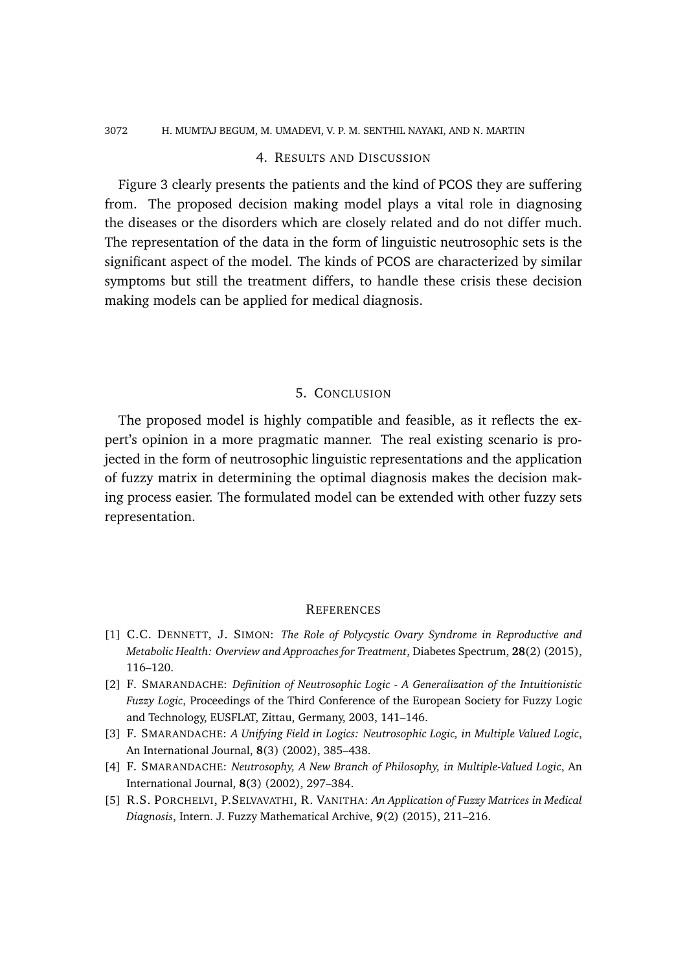#### 3072 H. MUMTAJ BEGUM, M. UMADEVI, V. P. M. SENTHIL NAYAKI, AND N. MARTIN

## 4. RESULTS AND DISCUSSION

Figure 3 clearly presents the patients and the kind of PCOS they are suffering from. The proposed decision making model plays a vital role in diagnosing the diseases or the disorders which are closely related and do not differ much. The representation of the data in the form of linguistic neutrosophic sets is the significant aspect of the model. The kinds of PCOS are characterized by similar symptoms but still the treatment differs, to handle these crisis these decision making models can be applied for medical diagnosis.

## 5. CONCLUSION

The proposed model is highly compatible and feasible, as it reflects the expert's opinion in a more pragmatic manner. The real existing scenario is projected in the form of neutrosophic linguistic representations and the application of fuzzy matrix in determining the optimal diagnosis makes the decision making process easier. The formulated model can be extended with other fuzzy sets representation.

### **REFERENCES**

- [1] C.C. DENNETT, J. SIMON: *The Role of Polycystic Ovary Syndrome in Reproductive and Metabolic Health: Overview and Approaches for Treatment*, Diabetes Spectrum, **28**(2) (2015), 116–120.
- [2] F. SMARANDACHE: *Definition of Neutrosophic Logic A Generalization of the Intuitionistic Fuzzy Logic*, Proceedings of the Third Conference of the European Society for Fuzzy Logic and Technology, EUSFLAT, Zittau, Germany, 2003, 141–146.
- [3] F. SMARANDACHE: *A Unifying Field in Logics: Neutrosophic Logic, in Multiple Valued Logic*, An International Journal, **8**(3) (2002), 385–438.
- [4] F. SMARANDACHE: *Neutrosophy, A New Branch of Philosophy, in Multiple-Valued Logic*, An International Journal, **8**(3) (2002), 297–384.
- [5] R.S. PORCHELVI, P.SELVAVATHI, R. VANITHA: *An Application of Fuzzy Matrices in Medical Diagnosis*, Intern. J. Fuzzy Mathematical Archive, **9**(2) (2015), 211–216.